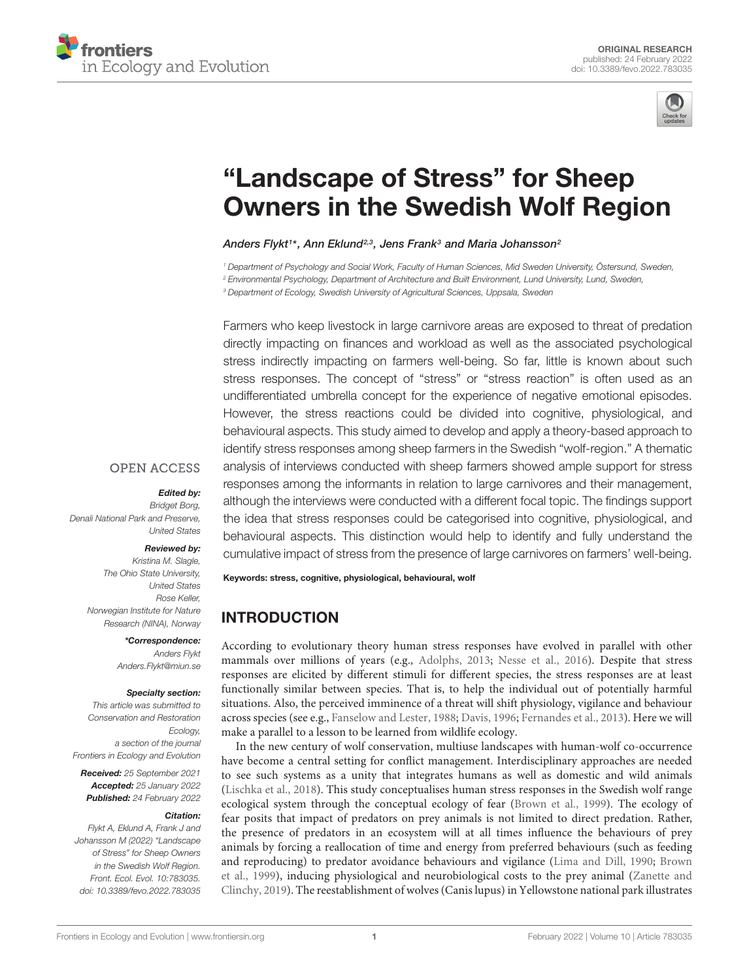



# "Landscape of Stress" for Sheep [Owners in the Swedish Wolf Region](https://www.frontiersin.org/articles/10.3389/fevo.2022.783035/full)

Anders Flykt1\*, Ann Eklund2,3, Jens Frank3 and Maria Johansson<sup>2</sup>

<sup>1</sup> Department of Psychology and Social Work, Faculty of Human Sciences, Mid Sweden University, Östersund, Sweden,

<sup>2</sup> Environmental Psychology, Department of Architecture and Built Environment, Lund University, Lund, Sweden,

<sup>3</sup> Department of Ecology, Swedish University of Agricultural Sciences, Uppsala, Sweden

Farmers who keep livestock in large carnivore areas are exposed to threat of predation directly impacting on finances and workload as well as the associated psychological stress indirectly impacting on farmers well-being. So far, little is known about such stress responses. The concept of "stress" or "stress reaction" is often used as an undifferentiated umbrella concept for the experience of negative emotional episodes. However, the stress reactions could be divided into cognitive, physiological, and behavioural aspects. This study aimed to develop and apply a theory-based approach to identify stress responses among sheep farmers in the Swedish "wolf-region." A thematic analysis of interviews conducted with sheep farmers showed ample support for stress responses among the informants in relation to large carnivores and their management, although the interviews were conducted with a different focal topic. The findings support the idea that stress responses could be categorised into cognitive, physiological, and behavioural aspects. This distinction would help to identify and fully understand the cumulative impact of stress from the presence of large carnivores on farmers' well-being.

#### **OPEN ACCESS**

#### Edited by:

Bridget Borg, Denali National Park and Preserve, United States

#### Reviewed by:

Kristina M. Slagle, The Ohio State University, United States Rose Keller, Norwegian Institute for Nature Research (NINA), Norway

\*Correspondence:

Anders Flykt Anders.Flykt@miun.se

#### Specialty section:

This article was submitted to Conservation and Restoration Ecology, a section of the journal Frontiers in Ecology and Evolution

Received: 25 September 2021 Accepted: 25 January 2022 Published: 24 February 2022

#### Citation:

Flykt A, Eklund A, Frank J and Johansson M (2022) "Landscape of Stress" for Sheep Owners in the Swedish Wolf Region. Front. Ecol. Evol. 10:783035. doi: [10.3389/fevo.2022.783035](https://doi.org/10.3389/fevo.2022.783035) Keywords: stress, cognitive, physiological, behavioural, wolf

# INTRODUCTION

According to evolutionary theory human stress responses have evolved in parallel with other mammals over millions of years (e.g., [Adolphs,](#page-9-0) [2013;](#page-9-0) [Nesse et al.,](#page-10-0) [2016\)](#page-10-0). Despite that stress responses are elicited by different stimuli for different species, the stress responses are at least functionally similar between species. That is, to help the individual out of potentially harmful situations. Also, the perceived imminence of a threat will shift physiology, vigilance and behaviour across species (see e.g., [Fanselow and Lester,](#page-9-1) [1988;](#page-9-1) [Davis,](#page-9-2) [1996;](#page-9-2) [Fernandes et al.,](#page-9-3) [2013\)](#page-9-3). Here we will make a parallel to a lesson to be learned from wildlife ecology.

In the new century of wolf conservation, multiuse landscapes with human-wolf co-occurrence have become a central setting for conflict management. Interdisciplinary approaches are needed to see such systems as a unity that integrates humans as well as domestic and wild animals [\(Lischka et al.,](#page-10-1) [2018\)](#page-10-1). This study conceptualises human stress responses in the Swedish wolf range ecological system through the conceptual ecology of fear [\(Brown et al.,](#page-9-4) [1999\)](#page-9-4). The ecology of fear posits that impact of predators on prey animals is not limited to direct predation. Rather, the presence of predators in an ecosystem will at all times influence the behaviours of prey animals by forcing a reallocation of time and energy from preferred behaviours (such as feeding and reproducing) to predator avoidance behaviours and vigilance [\(Lima and Dill,](#page-10-2) [1990;](#page-10-2) [Brown](#page-9-4) [et al.,](#page-9-4) [1999\)](#page-9-4), inducing physiological and neurobiological costs to the prey animal [\(Zanette and](#page-10-3) [Clinchy,](#page-10-3) [2019\)](#page-10-3). The reestablishment of wolves (Canis lupus) in Yellowstone national park illustrates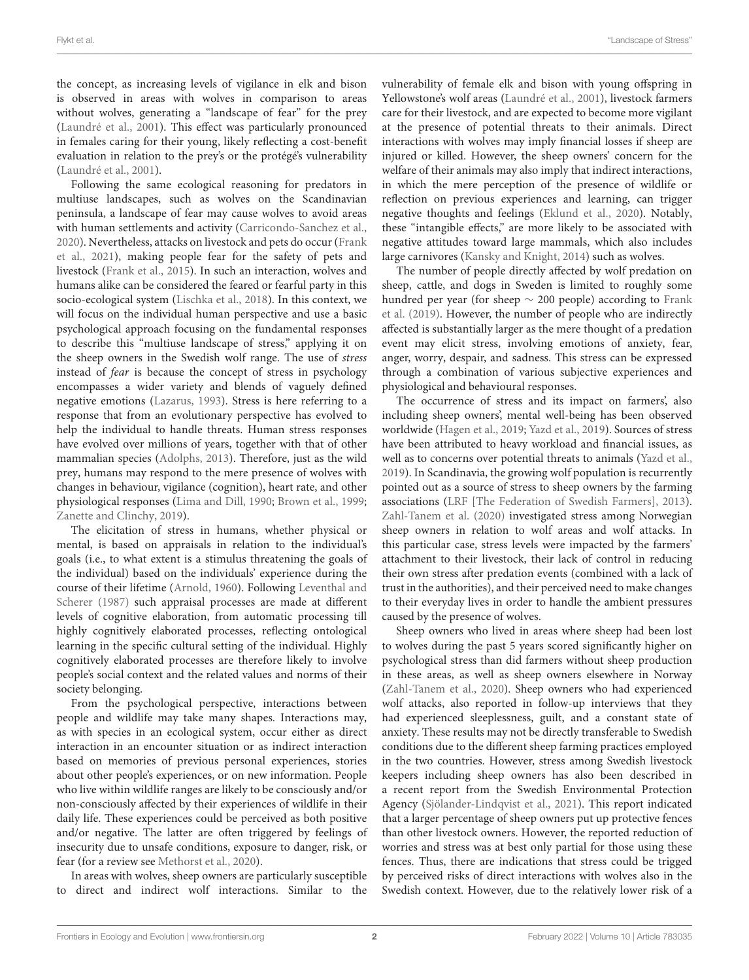the concept, as increasing levels of vigilance in elk and bison is observed in areas with wolves in comparison to areas without wolves, generating a "landscape of fear" for the prey [\(Laundré et al.,](#page-9-5) [2001\)](#page-9-5). This effect was particularly pronounced in females caring for their young, likely reflecting a cost-benefit evaluation in relation to the prey's or the protégé's vulnerability [\(Laundré et al.,](#page-9-5) [2001\)](#page-9-5).

Following the same ecological reasoning for predators in multiuse landscapes, such as wolves on the Scandinavian peninsula, a landscape of fear may cause wolves to avoid areas with human settlements and activity [\(Carricondo-Sanchez et al.,](#page-9-6) [2020\)](#page-9-6). Nevertheless, attacks on livestock and pets do occur [\(Frank](#page-9-7) [et al.,](#page-9-7) [2021\)](#page-9-7), making people fear for the safety of pets and livestock [\(Frank et al.,](#page-9-8) [2015\)](#page-9-8). In such an interaction, wolves and humans alike can be considered the feared or fearful party in this socio-ecological system [\(Lischka et al.,](#page-10-1) [2018\)](#page-10-1). In this context, we will focus on the individual human perspective and use a basic psychological approach focusing on the fundamental responses to describe this "multiuse landscape of stress," applying it on the sheep owners in the Swedish wolf range. The use of stress instead of fear is because the concept of stress in psychology encompasses a wider variety and blends of vaguely defined negative emotions [\(Lazarus,](#page-9-9) [1993\)](#page-9-9). Stress is here referring to a response that from an evolutionary perspective has evolved to help the individual to handle threats. Human stress responses have evolved over millions of years, together with that of other mammalian species [\(Adolphs,](#page-9-0) [2013\)](#page-9-0). Therefore, just as the wild prey, humans may respond to the mere presence of wolves with changes in behaviour, vigilance (cognition), heart rate, and other physiological responses [\(Lima and Dill,](#page-10-2) [1990;](#page-10-2) [Brown et al.,](#page-9-4) [1999;](#page-9-4) [Zanette and Clinchy,](#page-10-3) [2019\)](#page-10-3).

The elicitation of stress in humans, whether physical or mental, is based on appraisals in relation to the individual's goals (i.e., to what extent is a stimulus threatening the goals of the individual) based on the individuals' experience during the course of their lifetime [\(Arnold,](#page-9-10) [1960\)](#page-9-10). Following [Leventhal and](#page-10-4) [Scherer](#page-10-4) [\(1987\)](#page-10-4) such appraisal processes are made at different levels of cognitive elaboration, from automatic processing till highly cognitively elaborated processes, reflecting ontological learning in the specific cultural setting of the individual. Highly cognitively elaborated processes are therefore likely to involve people's social context and the related values and norms of their society belonging.

From the psychological perspective, interactions between people and wildlife may take many shapes. Interactions may, as with species in an ecological system, occur either as direct interaction in an encounter situation or as indirect interaction based on memories of previous personal experiences, stories about other people's experiences, or on new information. People who live within wildlife ranges are likely to be consciously and/or non-consciously affected by their experiences of wildlife in their daily life. These experiences could be perceived as both positive and/or negative. The latter are often triggered by feelings of insecurity due to unsafe conditions, exposure to danger, risk, or fear (for a review see [Methorst et al.,](#page-10-5) [2020\)](#page-10-5).

In areas with wolves, sheep owners are particularly susceptible direct and indirect wolf interactions. Similar to the vulnerability of female elk and bison with young offspring in Yellowstone's wolf areas [\(Laundré et al.,](#page-9-5) [2001\)](#page-9-5), livestock farmers care for their livestock, and are expected to become more vigilant at the presence of potential threats to their animals. Direct interactions with wolves may imply financial losses if sheep are injured or killed. However, the sheep owners' concern for the welfare of their animals may also imply that indirect interactions, in which the mere perception of the presence of wildlife or reflection on previous experiences and learning, can trigger negative thoughts and feelings [\(Eklund et al.,](#page-9-11) [2020\)](#page-9-11). Notably, these "intangible effects," are more likely to be associated with negative attitudes toward large mammals, which also includes large carnivores [\(Kansky and Knight,](#page-9-12) [2014\)](#page-9-12) such as wolves.

The number of people directly affected by wolf predation on sheep, cattle, and dogs in Sweden is limited to roughly some hundred per year (for sheep  $\sim$  200 people) according to [Frank](#page-9-13) [et al.](#page-9-13) [\(2019\)](#page-9-13). However, the number of people who are indirectly affected is substantially larger as the mere thought of a predation event may elicit stress, involving emotions of anxiety, fear, anger, worry, despair, and sadness. This stress can be expressed through a combination of various subjective experiences and physiological and behavioural responses.

The occurrence of stress and its impact on farmers', also including sheep owners', mental well-being has been observed worldwide [\(Hagen et al.,](#page-9-14) [2019;](#page-9-14) [Yazd et al.,](#page-10-6) [2019\)](#page-10-6). Sources of stress have been attributed to heavy workload and financial issues, as well as to concerns over potential threats to animals [\(Yazd et al.,](#page-10-6) [2019\)](#page-10-6). In Scandinavia, the growing wolf population is recurrently pointed out as a source of stress to sheep owners by the farming associations [\(LRF \[The Federation of Swedish Farmers\],](#page-10-7) [2013\)](#page-10-7). [Zahl-Tanem et al.](#page-10-8) [\(2020\)](#page-10-8) investigated stress among Norwegian sheep owners in relation to wolf areas and wolf attacks. In this particular case, stress levels were impacted by the farmers' attachment to their livestock, their lack of control in reducing their own stress after predation events (combined with a lack of trust in the authorities), and their perceived need to make changes to their everyday lives in order to handle the ambient pressures caused by the presence of wolves.

Sheep owners who lived in areas where sheep had been lost to wolves during the past 5 years scored significantly higher on psychological stress than did farmers without sheep production in these areas, as well as sheep owners elsewhere in Norway [\(Zahl-Tanem et al.,](#page-10-8) [2020\)](#page-10-8). Sheep owners who had experienced wolf attacks, also reported in follow-up interviews that they had experienced sleeplessness, guilt, and a constant state of anxiety. These results may not be directly transferable to Swedish conditions due to the different sheep farming practices employed in the two countries. However, stress among Swedish livestock keepers including sheep owners has also been described in a recent report from the Swedish Environmental Protection Agency [\(Sjölander-Lindqvist et al.,](#page-10-9) [2021\)](#page-10-9). This report indicated that a larger percentage of sheep owners put up protective fences than other livestock owners. However, the reported reduction of worries and stress was at best only partial for those using these fences. Thus, there are indications that stress could be trigged by perceived risks of direct interactions with wolves also in the Swedish context. However, due to the relatively lower risk of a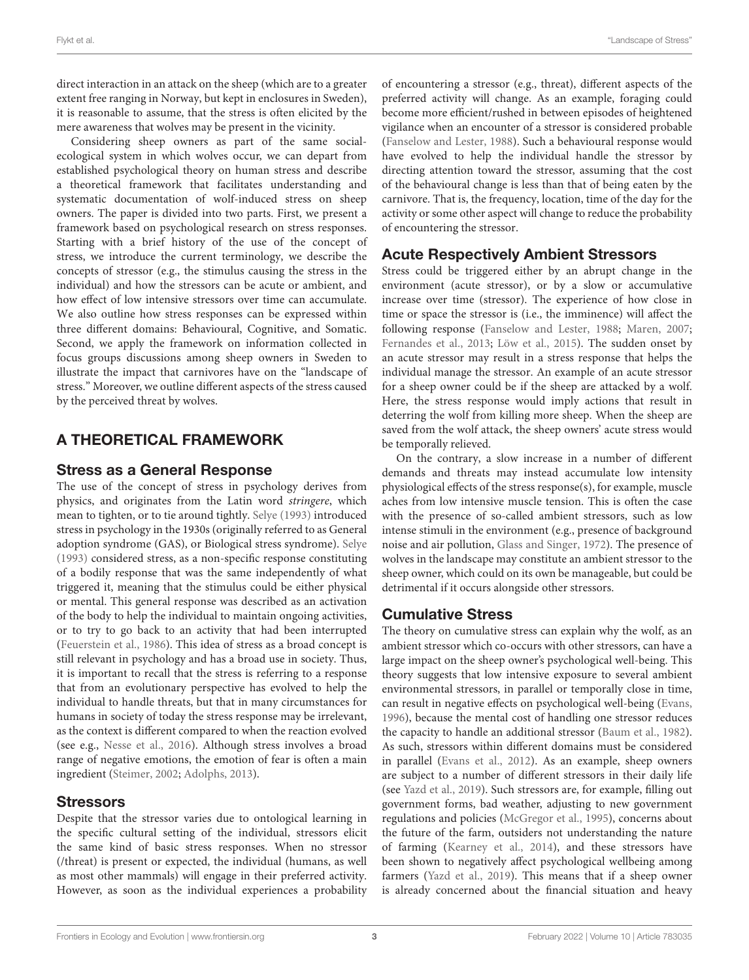direct interaction in an attack on the sheep (which are to a greater extent free ranging in Norway, but kept in enclosures in Sweden), it is reasonable to assume, that the stress is often elicited by the mere awareness that wolves may be present in the vicinity.

Considering sheep owners as part of the same socialecological system in which wolves occur, we can depart from established psychological theory on human stress and describe a theoretical framework that facilitates understanding and systematic documentation of wolf-induced stress on sheep owners. The paper is divided into two parts. First, we present a framework based on psychological research on stress responses. Starting with a brief history of the use of the concept of stress, we introduce the current terminology, we describe the concepts of stressor (e.g., the stimulus causing the stress in the individual) and how the stressors can be acute or ambient, and how effect of low intensive stressors over time can accumulate. We also outline how stress responses can be expressed within three different domains: Behavioural, Cognitive, and Somatic. Second, we apply the framework on information collected in focus groups discussions among sheep owners in Sweden to illustrate the impact that carnivores have on the "landscape of stress." Moreover, we outline different aspects of the stress caused by the perceived threat by wolves.

# A THEORETICAL FRAMEWORK

## Stress as a General Response

The use of the concept of stress in psychology derives from physics, and originates from the Latin word stringere, which mean to tighten, or to tie around tightly. [Selye](#page-10-10) [\(1993\)](#page-10-10) introduced stress in psychology in the 1930s (originally referred to as General adoption syndrome (GAS), or Biological stress syndrome). [Selye](#page-10-10) [\(1993\)](#page-10-10) considered stress, as a non-specific response constituting of a bodily response that was the same independently of what triggered it, meaning that the stimulus could be either physical or mental. This general response was described as an activation of the body to help the individual to maintain ongoing activities, or to try to go back to an activity that had been interrupted [\(Feuerstein et al.,](#page-9-15) [1986\)](#page-9-15). This idea of stress as a broad concept is still relevant in psychology and has a broad use in society. Thus, it is important to recall that the stress is referring to a response that from an evolutionary perspective has evolved to help the individual to handle threats, but that in many circumstances for humans in society of today the stress response may be irrelevant, as the context is different compared to when the reaction evolved (see e.g., [Nesse et al.,](#page-10-0) [2016\)](#page-10-0). Although stress involves a broad range of negative emotions, the emotion of fear is often a main ingredient [\(Steimer,](#page-10-11) [2002;](#page-10-11) [Adolphs,](#page-9-0) [2013\)](#page-9-0).

## **Stressors**

Despite that the stressor varies due to ontological learning in the specific cultural setting of the individual, stressors elicit the same kind of basic stress responses. When no stressor (/threat) is present or expected, the individual (humans, as well as most other mammals) will engage in their preferred activity. However, as soon as the individual experiences a probability of encountering a stressor (e.g., threat), different aspects of the preferred activity will change. As an example, foraging could become more efficient/rushed in between episodes of heightened vigilance when an encounter of a stressor is considered probable [\(Fanselow and Lester,](#page-9-1) [1988\)](#page-9-1). Such a behavioural response would have evolved to help the individual handle the stressor by directing attention toward the stressor, assuming that the cost of the behavioural change is less than that of being eaten by the carnivore. That is, the frequency, location, time of the day for the activity or some other aspect will change to reduce the probability of encountering the stressor.

# Acute Respectively Ambient Stressors

Stress could be triggered either by an abrupt change in the environment (acute stressor), or by a slow or accumulative increase over time (stressor). The experience of how close in time or space the stressor is (i.e., the imminence) will affect the following response [\(Fanselow and Lester,](#page-9-1) [1988;](#page-9-1) [Maren,](#page-10-12) [2007;](#page-10-12) [Fernandes et al.,](#page-9-3) [2013;](#page-9-3) [Löw et al.,](#page-10-13) [2015\)](#page-10-13). The sudden onset by an acute stressor may result in a stress response that helps the individual manage the stressor. An example of an acute stressor for a sheep owner could be if the sheep are attacked by a wolf. Here, the stress response would imply actions that result in deterring the wolf from killing more sheep. When the sheep are saved from the wolf attack, the sheep owners' acute stress would be temporally relieved.

On the contrary, a slow increase in a number of different demands and threats may instead accumulate low intensity physiological effects of the stress response(s), for example, muscle aches from low intensive muscle tension. This is often the case with the presence of so-called ambient stressors, such as low intense stimuli in the environment (e.g., presence of background noise and air pollution, [Glass and Singer,](#page-9-16) [1972\)](#page-9-16). The presence of wolves in the landscape may constitute an ambient stressor to the sheep owner, which could on its own be manageable, but could be detrimental if it occurs alongside other stressors.

# Cumulative Stress

The theory on cumulative stress can explain why the wolf, as an ambient stressor which co-occurs with other stressors, can have a large impact on the sheep owner's psychological well-being. This theory suggests that low intensive exposure to several ambient environmental stressors, in parallel or temporally close in time, can result in negative effects on psychological well-being [\(Evans,](#page-9-17) [1996\)](#page-9-17), because the mental cost of handling one stressor reduces the capacity to handle an additional stressor [\(Baum et al.,](#page-9-18) [1982\)](#page-9-18). As such, stressors within different domains must be considered in parallel [\(Evans et al.,](#page-9-19) [2012\)](#page-9-19). As an example, sheep owners are subject to a number of different stressors in their daily life (see [Yazd et al.,](#page-10-6) [2019\)](#page-10-6). Such stressors are, for example, filling out government forms, bad weather, adjusting to new government regulations and policies [\(McGregor et al.,](#page-10-14) [1995\)](#page-10-14), concerns about the future of the farm, outsiders not understanding the nature of farming [\(Kearney et al.,](#page-9-20) [2014\)](#page-9-20), and these stressors have been shown to negatively affect psychological wellbeing among farmers [\(Yazd et al.,](#page-10-6) [2019\)](#page-10-6). This means that if a sheep owner is already concerned about the financial situation and heavy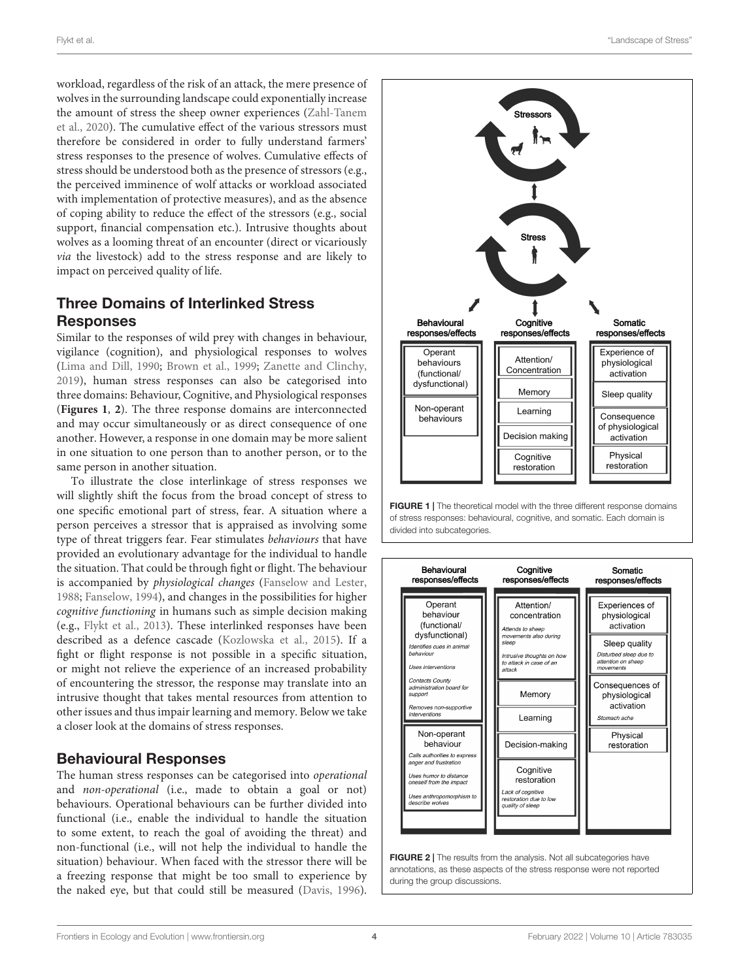workload, regardless of the risk of an attack, the mere presence of wolves in the surrounding landscape could exponentially increase the amount of stress the sheep owner experiences [\(Zahl-Tanem](#page-10-8) [et al.,](#page-10-8) [2020\)](#page-10-8). The cumulative effect of the various stressors must therefore be considered in order to fully understand farmers' stress responses to the presence of wolves. Cumulative effects of stress should be understood both as the presence of stressors (e.g., the perceived imminence of wolf attacks or workload associated with implementation of protective measures), and as the absence of coping ability to reduce the effect of the stressors (e.g., social support, financial compensation etc.). Intrusive thoughts about wolves as a looming threat of an encounter (direct or vicariously via the livestock) add to the stress response and are likely to impact on perceived quality of life.

# Three Domains of Interlinked Stress **Responses**

Similar to the responses of wild prey with changes in behaviour, vigilance (cognition), and physiological responses to wolves [\(Lima and Dill,](#page-10-2) [1990;](#page-10-2) [Brown et al.,](#page-9-4) [1999;](#page-9-4) [Zanette and Clinchy,](#page-10-3) [2019\)](#page-10-3), human stress responses can also be categorised into three domains: Behaviour, Cognitive, and Physiological responses (**[Figures 1](#page-3-0)**, **[2](#page-3-1)**). The three response domains are interconnected and may occur simultaneously or as direct consequence of one another. However, a response in one domain may be more salient in one situation to one person than to another person, or to the same person in another situation.

To illustrate the close interlinkage of stress responses we will slightly shift the focus from the broad concept of stress to one specific emotional part of stress, fear. A situation where a person perceives a stressor that is appraised as involving some type of threat triggers fear. Fear stimulates behaviours that have provided an evolutionary advantage for the individual to handle the situation. That could be through fight or flight. The behaviour is accompanied by physiological changes [\(Fanselow and Lester,](#page-9-1) [1988;](#page-9-1) [Fanselow,](#page-9-21) [1994\)](#page-9-21), and changes in the possibilities for higher cognitive functioning in humans such as simple decision making (e.g., [Flykt et al.,](#page-9-22) [2013\)](#page-9-22). These interlinked responses have been described as a defence cascade [\(Kozlowska et al.,](#page-9-23) [2015\)](#page-9-23). If a fight or flight response is not possible in a specific situation, or might not relieve the experience of an increased probability of encountering the stressor, the response may translate into an intrusive thought that takes mental resources from attention to other issues and thus impair learning and memory. Below we take a closer look at the domains of stress responses.

## Behavioural Responses

The human stress responses can be categorised into operational and non-operational (i.e., made to obtain a goal or not) behaviours. Operational behaviours can be further divided into functional (i.e., enable the individual to handle the situation to some extent, to reach the goal of avoiding the threat) and non-functional (i.e., will not help the individual to handle the situation) behaviour. When faced with the stressor there will be a freezing response that might be too small to experience by the naked eye, but that could still be measured [\(Davis,](#page-9-2) [1996\)](#page-9-2).



<span id="page-3-0"></span>



<span id="page-3-1"></span>FIGURE 2 | The results from the analysis. Not all subcategories have annotations, as these aspects of the stress response were not reported during the group discussions.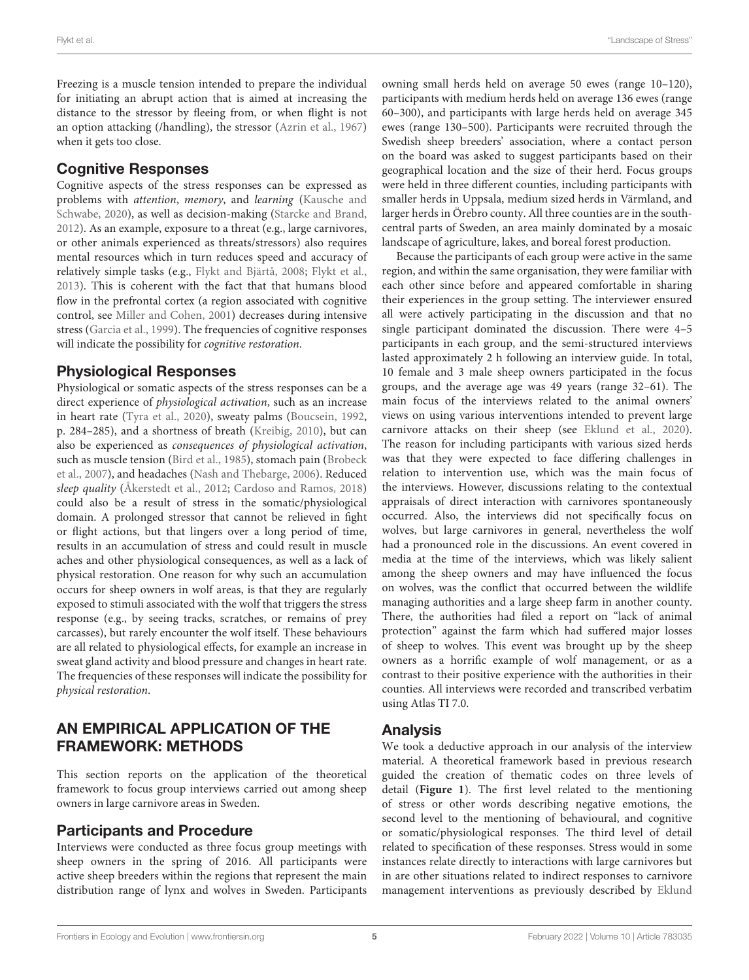Freezing is a muscle tension intended to prepare the individual for initiating an abrupt action that is aimed at increasing the distance to the stressor by fleeing from, or when flight is not an option attacking (/handling), the stressor [\(Azrin et al.,](#page-9-24) [1967\)](#page-9-24) when it gets too close.

# Cognitive Responses

Cognitive aspects of the stress responses can be expressed as problems with attention, memory, and learning [\(Kausche and](#page-9-25) [Schwabe,](#page-9-25) [2020\)](#page-9-25), as well as decision-making [\(Starcke and Brand,](#page-10-15) [2012\)](#page-10-15). As an example, exposure to a threat (e.g., large carnivores, or other animals experienced as threats/stressors) also requires mental resources which in turn reduces speed and accuracy of relatively simple tasks (e.g., [Flykt and Bjärtå,](#page-9-26) [2008;](#page-9-26) [Flykt et al.,](#page-9-22) [2013\)](#page-9-22). This is coherent with the fact that that humans blood flow in the prefrontal cortex (a region associated with cognitive control, see [Miller and Cohen,](#page-10-16) [2001\)](#page-10-16) decreases during intensive stress [\(Garcia et al.,](#page-9-27) [1999\)](#page-9-27). The frequencies of cognitive responses will indicate the possibility for cognitive restoration.

## Physiological Responses

Physiological or somatic aspects of the stress responses can be a direct experience of physiological activation, such as an increase in heart rate [\(Tyra et al.,](#page-10-17) [2020\)](#page-10-17), sweaty palms [\(Boucsein,](#page-9-28) [1992,](#page-9-28) p. 284–285), and a shortness of breath [\(Kreibig,](#page-9-29) [2010\)](#page-9-29), but can also be experienced as consequences of physiological activation, such as muscle tension [\(Bird et al.,](#page-9-30) [1985\)](#page-9-30), stomach pain [\(Brobeck](#page-9-31) [et al.,](#page-9-31) [2007\)](#page-9-31), and headaches [\(Nash and Thebarge,](#page-10-18) [2006\)](#page-10-18). Reduced sleep quality [\(Åkerstedt et al.,](#page-9-32) [2012;](#page-9-32) [Cardoso and Ramos,](#page-9-33) [2018\)](#page-9-33) could also be a result of stress in the somatic/physiological domain. A prolonged stressor that cannot be relieved in fight or flight actions, but that lingers over a long period of time, results in an accumulation of stress and could result in muscle aches and other physiological consequences, as well as a lack of physical restoration. One reason for why such an accumulation occurs for sheep owners in wolf areas, is that they are regularly exposed to stimuli associated with the wolf that triggers the stress response (e.g., by seeing tracks, scratches, or remains of prey carcasses), but rarely encounter the wolf itself. These behaviours are all related to physiological effects, for example an increase in sweat gland activity and blood pressure and changes in heart rate. The frequencies of these responses will indicate the possibility for physical restoration.

# AN EMPIRICAL APPLICATION OF THE FRAMEWORK: METHODS

This section reports on the application of the theoretical framework to focus group interviews carried out among sheep owners in large carnivore areas in Sweden.

# Participants and Procedure

Interviews were conducted as three focus group meetings with sheep owners in the spring of 2016. All participants were active sheep breeders within the regions that represent the main distribution range of lynx and wolves in Sweden. Participants

owning small herds held on average 50 ewes (range 10–120), participants with medium herds held on average 136 ewes (range 60–300), and participants with large herds held on average 345 ewes (range 130–500). Participants were recruited through the Swedish sheep breeders' association, where a contact person on the board was asked to suggest participants based on their geographical location and the size of their herd. Focus groups were held in three different counties, including participants with smaller herds in Uppsala, medium sized herds in Värmland, and larger herds in Örebro county. All three counties are in the southcentral parts of Sweden, an area mainly dominated by a mosaic landscape of agriculture, lakes, and boreal forest production.

Because the participants of each group were active in the same region, and within the same organisation, they were familiar with each other since before and appeared comfortable in sharing their experiences in the group setting. The interviewer ensured all were actively participating in the discussion and that no single participant dominated the discussion. There were 4–5 participants in each group, and the semi-structured interviews lasted approximately 2 h following an interview guide. In total, 10 female and 3 male sheep owners participated in the focus groups, and the average age was 49 years (range 32–61). The main focus of the interviews related to the animal owners' views on using various interventions intended to prevent large carnivore attacks on their sheep (see [Eklund et al.,](#page-9-11) [2020\)](#page-9-11). The reason for including participants with various sized herds was that they were expected to face differing challenges in relation to intervention use, which was the main focus of the interviews. However, discussions relating to the contextual appraisals of direct interaction with carnivores spontaneously occurred. Also, the interviews did not specifically focus on wolves, but large carnivores in general, nevertheless the wolf had a pronounced role in the discussions. An event covered in media at the time of the interviews, which was likely salient among the sheep owners and may have influenced the focus on wolves, was the conflict that occurred between the wildlife managing authorities and a large sheep farm in another county. There, the authorities had filed a report on "lack of animal protection" against the farm which had suffered major losses of sheep to wolves. This event was brought up by the sheep owners as a horrific example of wolf management, or as a contrast to their positive experience with the authorities in their counties. All interviews were recorded and transcribed verbatim using Atlas TI 7.0.

## Analysis

We took a deductive approach in our analysis of the interview material. A theoretical framework based in previous research guided the creation of thematic codes on three levels of detail (**[Figure 1](#page-3-0)**). The first level related to the mentioning of stress or other words describing negative emotions, the second level to the mentioning of behavioural, and cognitive or somatic/physiological responses. The third level of detail related to specification of these responses. Stress would in some instances relate directly to interactions with large carnivores but in are other situations related to indirect responses to carnivore management interventions as previously described by [Eklund](#page-9-11)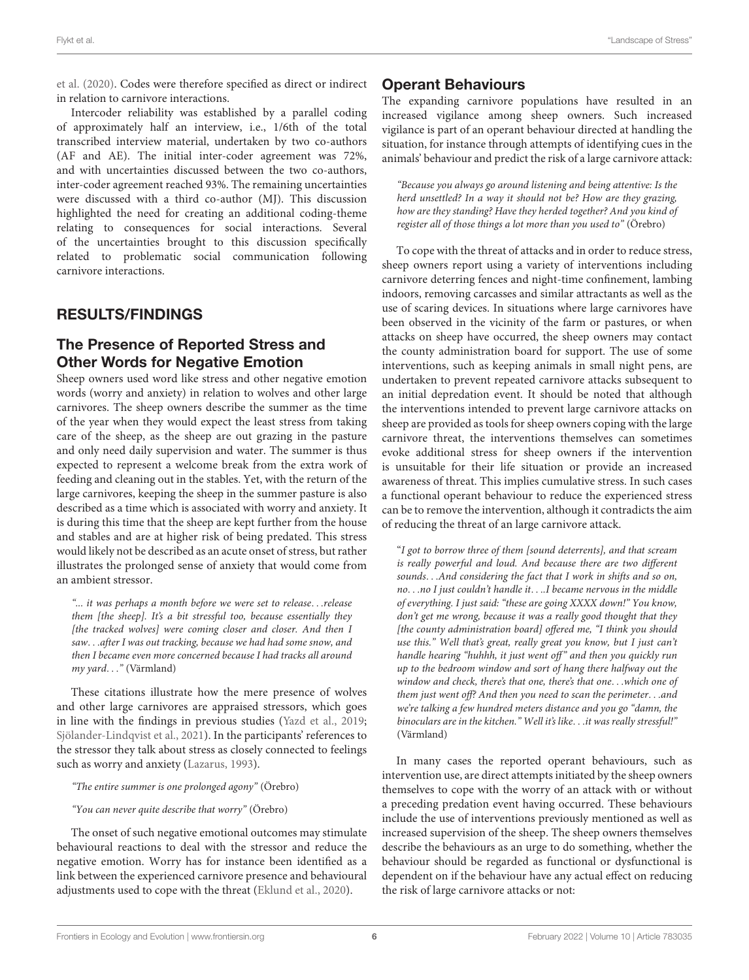[et al.](#page-9-11) [\(2020\)](#page-9-11). Codes were therefore specified as direct or indirect in relation to carnivore interactions.

Intercoder reliability was established by a parallel coding of approximately half an interview, i.e., 1/6th of the total transcribed interview material, undertaken by two co-authors (AF and AE). The initial inter-coder agreement was 72%, and with uncertainties discussed between the two co-authors, inter-coder agreement reached 93%. The remaining uncertainties were discussed with a third co-author (MJ). This discussion highlighted the need for creating an additional coding-theme relating to consequences for social interactions. Several of the uncertainties brought to this discussion specifically related to problematic social communication following carnivore interactions.

# RESULTS/FINDINGS

# The Presence of Reported Stress and Other Words for Negative Emotion

Sheep owners used word like stress and other negative emotion words (worry and anxiety) in relation to wolves and other large carnivores. The sheep owners describe the summer as the time of the year when they would expect the least stress from taking care of the sheep, as the sheep are out grazing in the pasture and only need daily supervision and water. The summer is thus expected to represent a welcome break from the extra work of feeding and cleaning out in the stables. Yet, with the return of the large carnivores, keeping the sheep in the summer pasture is also described as a time which is associated with worry and anxiety. It is during this time that the sheep are kept further from the house and stables and are at higher risk of being predated. This stress would likely not be described as an acute onset of stress, but rather illustrates the prolonged sense of anxiety that would come from an ambient stressor.

"... it was perhaps a month before we were set to release. . .release them [the sheep]. It's a bit stressful too, because essentially they [the tracked wolves] were coming closer and closer. And then I saw. . .after I was out tracking, because we had had some snow, and then I became even more concerned because I had tracks all around my yard. . ." (Värmland)

These citations illustrate how the mere presence of wolves and other large carnivores are appraised stressors, which goes in line with the findings in previous studies [\(Yazd et al.,](#page-10-6) [2019;](#page-10-6) [Sjölander-Lindqvist et al.,](#page-10-9) [2021\)](#page-10-9). In the participants' references to the stressor they talk about stress as closely connected to feelings such as worry and anxiety [\(Lazarus,](#page-9-9) [1993\)](#page-9-9).

#### "The entire summer is one prolonged agony" (Örebro)

#### "You can never quite describe that worry" (Örebro)

The onset of such negative emotional outcomes may stimulate behavioural reactions to deal with the stressor and reduce the negative emotion. Worry has for instance been identified as a link between the experienced carnivore presence and behavioural adjustments used to cope with the threat [\(Eklund et al.,](#page-9-11) [2020\)](#page-9-11).

# Operant Behaviours

The expanding carnivore populations have resulted in an increased vigilance among sheep owners. Such increased vigilance is part of an operant behaviour directed at handling the situation, for instance through attempts of identifying cues in the animals' behaviour and predict the risk of a large carnivore attack:

"Because you always go around listening and being attentive: Is the herd unsettled? In a way it should not be? How are they grazing, how are they standing? Have they herded together? And you kind of register all of those things a lot more than you used to" (Örebro)

To cope with the threat of attacks and in order to reduce stress, sheep owners report using a variety of interventions including carnivore deterring fences and night-time confinement, lambing indoors, removing carcasses and similar attractants as well as the use of scaring devices. In situations where large carnivores have been observed in the vicinity of the farm or pastures, or when attacks on sheep have occurred, the sheep owners may contact the county administration board for support. The use of some interventions, such as keeping animals in small night pens, are undertaken to prevent repeated carnivore attacks subsequent to an initial depredation event. It should be noted that although the interventions intended to prevent large carnivore attacks on sheep are provided as tools for sheep owners coping with the large carnivore threat, the interventions themselves can sometimes evoke additional stress for sheep owners if the intervention is unsuitable for their life situation or provide an increased awareness of threat. This implies cumulative stress. In such cases a functional operant behaviour to reduce the experienced stress can be to remove the intervention, although it contradicts the aim of reducing the threat of an large carnivore attack.

"I got to borrow three of them [sound deterrents], and that scream is really powerful and loud. And because there are two different sounds. . .And considering the fact that I work in shifts and so on, no. . .no I just couldn't handle it. . ..I became nervous in the middle of everything. I just said: "these are going XXXX down!" You know, don't get me wrong, because it was a really good thought that they [the county administration board] offered me, "I think you should use this." Well that's great, really great you know, but I just can't handle hearing "huhhh, it just went off" and then you quickly run up to the bedroom window and sort of hang there halfway out the window and check, there's that one, there's that one. . .which one of them just went off? And then you need to scan the perimeter. . .and we're talking a few hundred meters distance and you go "damn, the binoculars are in the kitchen." Well it's like. . .it was really stressful!" (Värmland)

In many cases the reported operant behaviours, such as intervention use, are direct attempts initiated by the sheep owners themselves to cope with the worry of an attack with or without a preceding predation event having occurred. These behaviours include the use of interventions previously mentioned as well as increased supervision of the sheep. The sheep owners themselves describe the behaviours as an urge to do something, whether the behaviour should be regarded as functional or dysfunctional is dependent on if the behaviour have any actual effect on reducing the risk of large carnivore attacks or not: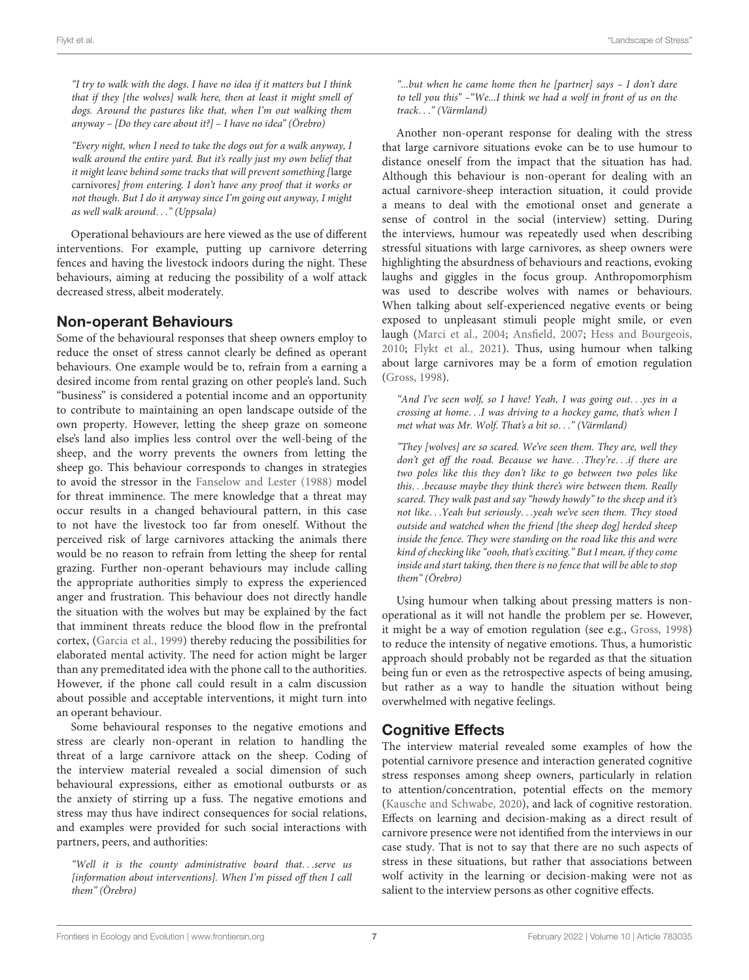"I try to walk with the dogs. I have no idea if it matters but I think that if they [the wolves] walk here, then at least it might smell of dogs. Around the pastures like that, when I'm out walking them anyway – [Do they care about it?] – I have no idea" (Örebro)

"Every night, when I need to take the dogs out for a walk anyway, I walk around the entire yard. But it's really just my own belief that it might leave behind some tracks that will prevent something [large carnivores] from entering. I don't have any proof that it works or not though. But I do it anyway since I'm going out anyway, I might as well walk around. . ." (Uppsala)

Operational behaviours are here viewed as the use of different interventions. For example, putting up carnivore deterring fences and having the livestock indoors during the night. These behaviours, aiming at reducing the possibility of a wolf attack decreased stress, albeit moderately.

# Non-operant Behaviours

Some of the behavioural responses that sheep owners employ to reduce the onset of stress cannot clearly be defined as operant behaviours. One example would be to, refrain from a earning a desired income from rental grazing on other people's land. Such "business" is considered a potential income and an opportunity to contribute to maintaining an open landscape outside of the own property. However, letting the sheep graze on someone else's land also implies less control over the well-being of the sheep, and the worry prevents the owners from letting the sheep go. This behaviour corresponds to changes in strategies to avoid the stressor in the [Fanselow and Lester](#page-9-1) [\(1988\)](#page-9-1) model for threat imminence. The mere knowledge that a threat may occur results in a changed behavioural pattern, in this case to not have the livestock too far from oneself. Without the perceived risk of large carnivores attacking the animals there would be no reason to refrain from letting the sheep for rental grazing. Further non-operant behaviours may include calling the appropriate authorities simply to express the experienced anger and frustration. This behaviour does not directly handle the situation with the wolves but may be explained by the fact that imminent threats reduce the blood flow in the prefrontal cortex, [\(Garcia et al.,](#page-9-27) [1999\)](#page-9-27) thereby reducing the possibilities for elaborated mental activity. The need for action might be larger than any premeditated idea with the phone call to the authorities. However, if the phone call could result in a calm discussion about possible and acceptable interventions, it might turn into an operant behaviour.

Some behavioural responses to the negative emotions and stress are clearly non-operant in relation to handling the threat of a large carnivore attack on the sheep. Coding of the interview material revealed a social dimension of such behavioural expressions, either as emotional outbursts or as the anxiety of stirring up a fuss. The negative emotions and stress may thus have indirect consequences for social relations, and examples were provided for such social interactions with partners, peers, and authorities:

"Well it is the county administrative board that. . .serve us [information about interventions]. When I'm pissed off then I call them" (Örebro)

"...but when he came home then he [partner] says – I don't dare to tell you this" –"We...I think we had a wolf in front of us on the track. . ." (Värmland)

Another non-operant response for dealing with the stress that large carnivore situations evoke can be to use humour to distance oneself from the impact that the situation has had. Although this behaviour is non-operant for dealing with an actual carnivore-sheep interaction situation, it could provide a means to deal with the emotional onset and generate a sense of control in the social (interview) setting. During the interviews, humour was repeatedly used when describing stressful situations with large carnivores, as sheep owners were highlighting the absurdness of behaviours and reactions, evoking laughs and giggles in the focus group. Anthropomorphism was used to describe wolves with names or behaviours. When talking about self-experienced negative events or being exposed to unpleasant stimuli people might smile, or even laugh [\(Marci et al.,](#page-10-19) [2004;](#page-10-19) [Ansfield,](#page-9-34) [2007;](#page-9-34) [Hess and Bourgeois,](#page-9-35) [2010;](#page-9-35) [Flykt et al.,](#page-9-36) [2021\)](#page-9-36). Thus, using humour when talking about large carnivores may be a form of emotion regulation [\(Gross,](#page-9-37) [1998\)](#page-9-37).

"And I've seen wolf, so I have! Yeah, I was going out. . .yes in a crossing at home. . .I was driving to a hockey game, that's when I met what was Mr. Wolf. That's a bit so. . ." (Värmland)

"They [wolves] are so scared. We've seen them. They are, well they don't get off the road. Because we have...They're...if there are two poles like this they don't like to go between two poles like this. . .because maybe they think there's wire between them. Really scared. They walk past and say "howdy howdy" to the sheep and it's not like. . .Yeah but seriously. . .yeah we've seen them. They stood outside and watched when the friend [the sheep dog] herded sheep inside the fence. They were standing on the road like this and were kind of checking like "oooh, that's exciting." But I mean, if they come inside and start taking, then there is no fence that will be able to stop them" (Örebro)

Using humour when talking about pressing matters is nonoperational as it will not handle the problem per se. However, it might be a way of emotion regulation (see e.g., [Gross,](#page-9-37) [1998\)](#page-9-37) to reduce the intensity of negative emotions. Thus, a humoristic approach should probably not be regarded as that the situation being fun or even as the retrospective aspects of being amusing, but rather as a way to handle the situation without being overwhelmed with negative feelings.

# Cognitive Effects

The interview material revealed some examples of how the potential carnivore presence and interaction generated cognitive stress responses among sheep owners, particularly in relation to attention/concentration, potential effects on the memory [\(Kausche and Schwabe,](#page-9-25) [2020\)](#page-9-25), and lack of cognitive restoration. Effects on learning and decision-making as a direct result of carnivore presence were not identified from the interviews in our case study. That is not to say that there are no such aspects of stress in these situations, but rather that associations between wolf activity in the learning or decision-making were not as salient to the interview persons as other cognitive effects.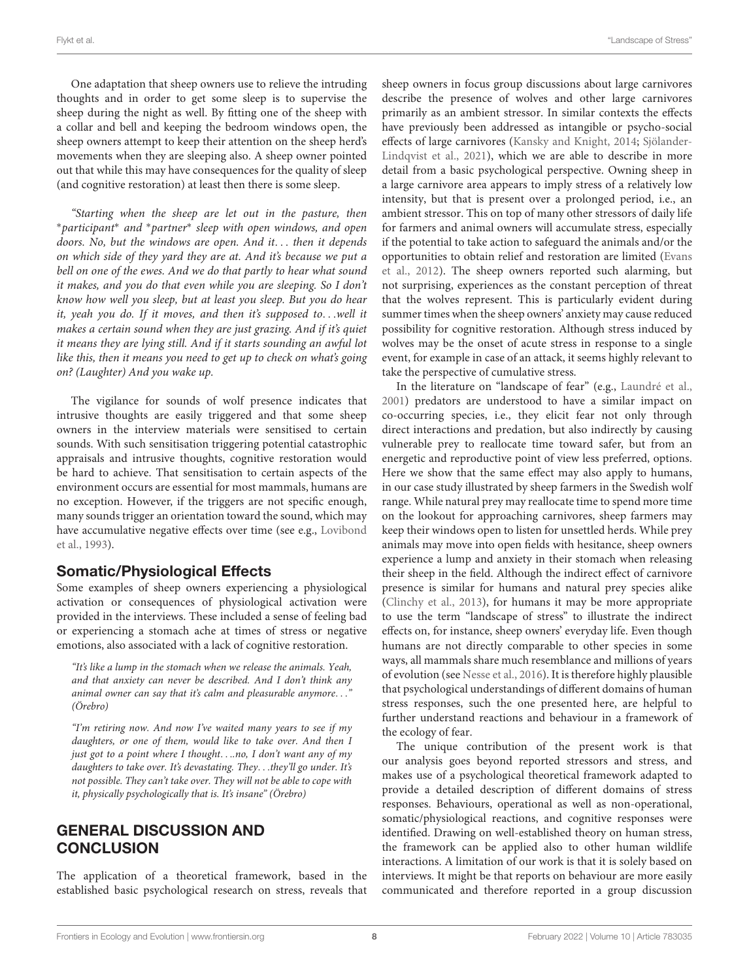One adaptation that sheep owners use to relieve the intruding thoughts and in order to get some sleep is to supervise the sheep during the night as well. By fitting one of the sheep with a collar and bell and keeping the bedroom windows open, the sheep owners attempt to keep their attention on the sheep herd's movements when they are sleeping also. A sheep owner pointed out that while this may have consequences for the quality of sleep (and cognitive restoration) at least then there is some sleep.

"Starting when the sheep are let out in the pasture, then <sup>∗</sup>participant<sup>∗</sup> and <sup>∗</sup>partner<sup>∗</sup> sleep with open windows, and open doors. No, but the windows are open. And it. . . then it depends on which side of they yard they are at. And it's because we put a bell on one of the ewes. And we do that partly to hear what sound it makes, and you do that even while you are sleeping. So I don't know how well you sleep, but at least you sleep. But you do hear it, yeah you do. If it moves, and then it's supposed to. . .well it makes a certain sound when they are just grazing. And if it's quiet it means they are lying still. And if it starts sounding an awful lot like this, then it means you need to get up to check on what's going on? (Laughter) And you wake up.

The vigilance for sounds of wolf presence indicates that intrusive thoughts are easily triggered and that some sheep owners in the interview materials were sensitised to certain sounds. With such sensitisation triggering potential catastrophic appraisals and intrusive thoughts, cognitive restoration would be hard to achieve. That sensitisation to certain aspects of the environment occurs are essential for most mammals, humans are no exception. However, if the triggers are not specific enough, many sounds trigger an orientation toward the sound, which may have accumulative negative effects over time (see e.g., [Lovibond](#page-10-20) [et al.,](#page-10-20) [1993\)](#page-10-20).

# Somatic/Physiological Effects

Some examples of sheep owners experiencing a physiological activation or consequences of physiological activation were provided in the interviews. These included a sense of feeling bad or experiencing a stomach ache at times of stress or negative emotions, also associated with a lack of cognitive restoration.

"It's like a lump in the stomach when we release the animals. Yeah, and that anxiety can never be described. And I don't think any animal owner can say that it's calm and pleasurable anymore. . ." (Örebro)

"I'm retiring now. And now I've waited many years to see if my daughters, or one of them, would like to take over. And then I just got to a point where I thought. . ..no, I don't want any of my daughters to take over. It's devastating. They...they'll go under. It's not possible. They can't take over. They will not be able to cope with it, physically psychologically that is. It's insane" (Örebro)

# GENERAL DISCUSSION AND **CONCLUSION**

The application of a theoretical framework, based in the established basic psychological research on stress, reveals that sheep owners in focus group discussions about large carnivores describe the presence of wolves and other large carnivores primarily as an ambient stressor. In similar contexts the effects have previously been addressed as intangible or psycho-social effects of large carnivores [\(Kansky and Knight,](#page-9-12) [2014;](#page-9-12) [Sjölander-](#page-10-9)[Lindqvist et al.,](#page-10-9) [2021\)](#page-10-9), which we are able to describe in more detail from a basic psychological perspective. Owning sheep in a large carnivore area appears to imply stress of a relatively low intensity, but that is present over a prolonged period, i.e., an ambient stressor. This on top of many other stressors of daily life for farmers and animal owners will accumulate stress, especially if the potential to take action to safeguard the animals and/or the opportunities to obtain relief and restoration are limited [\(Evans](#page-9-19) [et al.,](#page-9-19) [2012\)](#page-9-19). The sheep owners reported such alarming, but not surprising, experiences as the constant perception of threat that the wolves represent. This is particularly evident during summer times when the sheep owners' anxiety may cause reduced possibility for cognitive restoration. Although stress induced by wolves may be the onset of acute stress in response to a single event, for example in case of an attack, it seems highly relevant to take the perspective of cumulative stress.

In the literature on "landscape of fear" (e.g., [Laundré et al.,](#page-9-5) [2001\)](#page-9-5) predators are understood to have a similar impact on co-occurring species, i.e., they elicit fear not only through direct interactions and predation, but also indirectly by causing vulnerable prey to reallocate time toward safer, but from an energetic and reproductive point of view less preferred, options. Here we show that the same effect may also apply to humans, in our case study illustrated by sheep farmers in the Swedish wolf range. While natural prey may reallocate time to spend more time on the lookout for approaching carnivores, sheep farmers may keep their windows open to listen for unsettled herds. While prey animals may move into open fields with hesitance, sheep owners experience a lump and anxiety in their stomach when releasing their sheep in the field. Although the indirect effect of carnivore presence is similar for humans and natural prey species alike [\(Clinchy et al.,](#page-9-38) [2013\)](#page-9-38), for humans it may be more appropriate to use the term "landscape of stress" to illustrate the indirect effects on, for instance, sheep owners' everyday life. Even though humans are not directly comparable to other species in some ways, all mammals share much resemblance and millions of years of evolution (see [Nesse et al.,](#page-10-0) [2016\)](#page-10-0). It is therefore highly plausible that psychological understandings of different domains of human stress responses, such the one presented here, are helpful to further understand reactions and behaviour in a framework of the ecology of fear.

The unique contribution of the present work is that our analysis goes beyond reported stressors and stress, and makes use of a psychological theoretical framework adapted to provide a detailed description of different domains of stress responses. Behaviours, operational as well as non-operational, somatic/physiological reactions, and cognitive responses were identified. Drawing on well-established theory on human stress, the framework can be applied also to other human wildlife interactions. A limitation of our work is that it is solely based on interviews. It might be that reports on behaviour are more easily communicated and therefore reported in a group discussion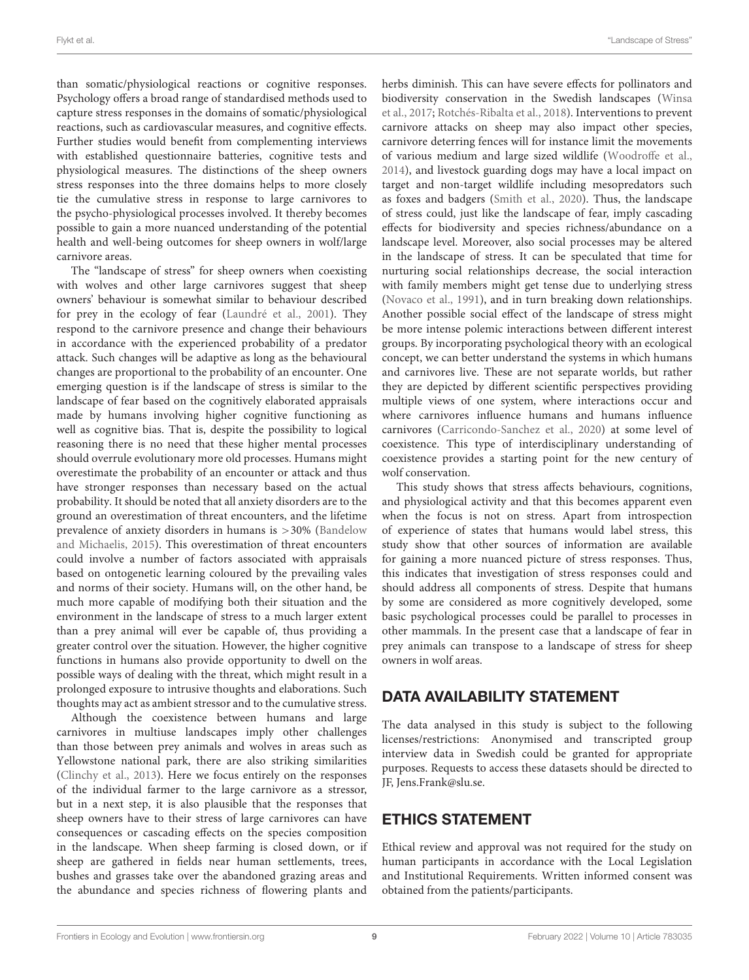than somatic/physiological reactions or cognitive responses. Psychology offers a broad range of standardised methods used to capture stress responses in the domains of somatic/physiological reactions, such as cardiovascular measures, and cognitive effects. Further studies would benefit from complementing interviews with established questionnaire batteries, cognitive tests and physiological measures. The distinctions of the sheep owners stress responses into the three domains helps to more closely tie the cumulative stress in response to large carnivores to the psycho-physiological processes involved. It thereby becomes possible to gain a more nuanced understanding of the potential health and well-being outcomes for sheep owners in wolf/large carnivore areas.

The "landscape of stress" for sheep owners when coexisting with wolves and other large carnivores suggest that sheep owners' behaviour is somewhat similar to behaviour described for prey in the ecology of fear [\(Laundré et al.,](#page-9-5) [2001\)](#page-9-5). They respond to the carnivore presence and change their behaviours in accordance with the experienced probability of a predator attack. Such changes will be adaptive as long as the behavioural changes are proportional to the probability of an encounter. One emerging question is if the landscape of stress is similar to the landscape of fear based on the cognitively elaborated appraisals made by humans involving higher cognitive functioning as well as cognitive bias. That is, despite the possibility to logical reasoning there is no need that these higher mental processes should overrule evolutionary more old processes. Humans might overestimate the probability of an encounter or attack and thus have stronger responses than necessary based on the actual probability. It should be noted that all anxiety disorders are to the ground an overestimation of threat encounters, and the lifetime prevalence of anxiety disorders in humans is >30% [\(Bandelow](#page-9-39) [and Michaelis,](#page-9-39) [2015\)](#page-9-39). This overestimation of threat encounters could involve a number of factors associated with appraisals based on ontogenetic learning coloured by the prevailing vales and norms of their society. Humans will, on the other hand, be much more capable of modifying both their situation and the environment in the landscape of stress to a much larger extent than a prey animal will ever be capable of, thus providing a greater control over the situation. However, the higher cognitive functions in humans also provide opportunity to dwell on the possible ways of dealing with the threat, which might result in a prolonged exposure to intrusive thoughts and elaborations. Such thoughts may act as ambient stressor and to the cumulative stress.

Although the coexistence between humans and large carnivores in multiuse landscapes imply other challenges than those between prey animals and wolves in areas such as Yellowstone national park, there are also striking similarities [\(Clinchy et al.,](#page-9-38) [2013\)](#page-9-38). Here we focus entirely on the responses of the individual farmer to the large carnivore as a stressor, but in a next step, it is also plausible that the responses that sheep owners have to their stress of large carnivores can have consequences or cascading effects on the species composition in the landscape. When sheep farming is closed down, or if sheep are gathered in fields near human settlements, trees, bushes and grasses take over the abandoned grazing areas and the abundance and species richness of flowering plants and

herbs diminish. This can have severe effects for pollinators and biodiversity conservation in the Swedish landscapes [\(Winsa](#page-10-21) [et al.,](#page-10-21) [2017;](#page-10-21) [Rotchés-Ribalta et al.,](#page-10-22) [2018\)](#page-10-22). Interventions to prevent carnivore attacks on sheep may also impact other species, carnivore deterring fences will for instance limit the movements of various medium and large sized wildlife [\(Woodroffe et al.,](#page-10-23) [2014\)](#page-10-23), and livestock guarding dogs may have a local impact on target and non-target wildlife including mesopredators such as foxes and badgers [\(Smith et al.,](#page-10-24) [2020\)](#page-10-24). Thus, the landscape of stress could, just like the landscape of fear, imply cascading effects for biodiversity and species richness/abundance on a landscape level. Moreover, also social processes may be altered in the landscape of stress. It can be speculated that time for nurturing social relationships decrease, the social interaction with family members might get tense due to underlying stress [\(Novaco et al.,](#page-10-25) [1991\)](#page-10-25), and in turn breaking down relationships. Another possible social effect of the landscape of stress might be more intense polemic interactions between different interest groups. By incorporating psychological theory with an ecological concept, we can better understand the systems in which humans and carnivores live. These are not separate worlds, but rather they are depicted by different scientific perspectives providing multiple views of one system, where interactions occur and where carnivores influence humans and humans influence carnivores [\(Carricondo-Sanchez et al.,](#page-9-6) [2020\)](#page-9-6) at some level of coexistence. This type of interdisciplinary understanding of coexistence provides a starting point for the new century of wolf conservation.

This study shows that stress affects behaviours, cognitions, and physiological activity and that this becomes apparent even when the focus is not on stress. Apart from introspection of experience of states that humans would label stress, this study show that other sources of information are available for gaining a more nuanced picture of stress responses. Thus, this indicates that investigation of stress responses could and should address all components of stress. Despite that humans by some are considered as more cognitively developed, some basic psychological processes could be parallel to processes in other mammals. In the present case that a landscape of fear in prey animals can transpose to a landscape of stress for sheep owners in wolf areas.

#### DATA AVAILABILITY STATEMENT

The data analysed in this study is subject to the following licenses/restrictions: Anonymised and transcripted group interview data in Swedish could be granted for appropriate purposes. Requests to access these datasets should be directed to JF, [Jens.Frank@slu.se.](mailto:Jens.Frank@slu.se)

## ETHICS STATEMENT

Ethical review and approval was not required for the study on human participants in accordance with the Local Legislation and Institutional Requirements. Written informed consent was obtained from the patients/participants.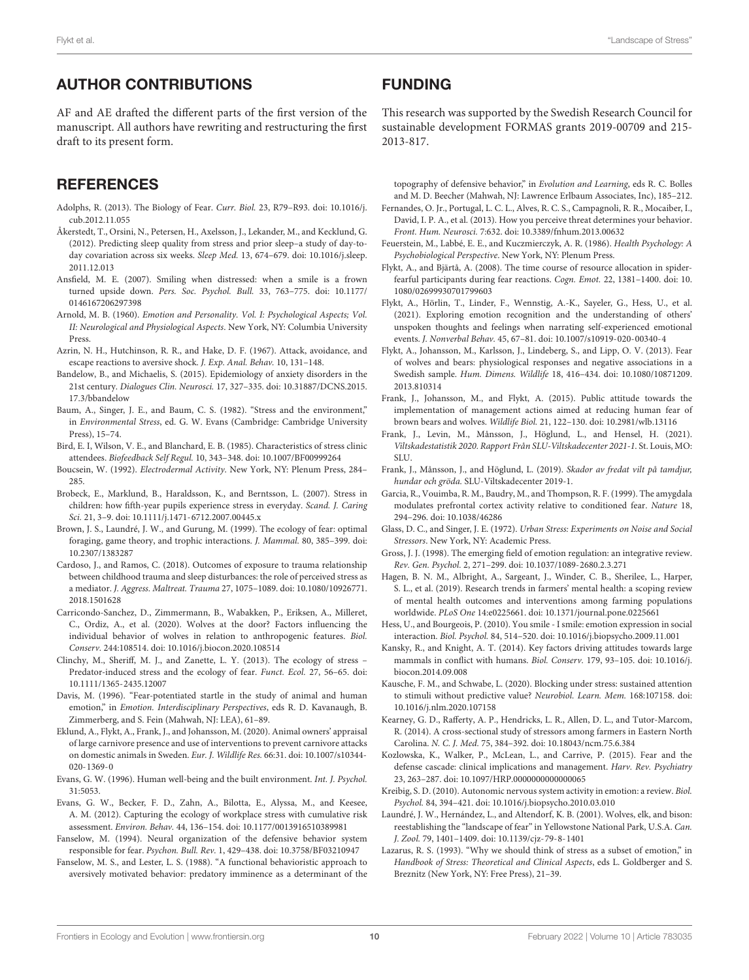## AUTHOR CONTRIBUTIONS

AF and AE drafted the different parts of the first version of the manuscript. All authors have rewriting and restructuring the first draft to its present form.

# **REFERENCES**

- <span id="page-9-0"></span>Adolphs, R. (2013). The Biology of Fear. Curr. Biol. 23, R79–R93. [doi: 10.1016/j.](https://doi.org/10.1016/j.cub.2012.11.055) [cub.2012.11.055](https://doi.org/10.1016/j.cub.2012.11.055)
- <span id="page-9-32"></span>Åkerstedt, T., Orsini, N., Petersen, H., Axelsson, J., Lekander, M., and Kecklund, G. (2012). Predicting sleep quality from stress and prior sleep–a study of day-today covariation across six weeks. Sleep Med. 13, 674–679. [doi: 10.1016/j.sleep.](https://doi.org/10.1016/j.sleep.2011.12.013) [2011.12.013](https://doi.org/10.1016/j.sleep.2011.12.013)
- <span id="page-9-34"></span>Ansfield, M. E. (2007). Smiling when distressed: when a smile is a frown turned upside down. Pers. Soc. Psychol. Bull. 33, 763–775. [doi: 10.1177/](https://doi.org/10.1177/0146167206297398) [0146167206297398](https://doi.org/10.1177/0146167206297398)
- <span id="page-9-10"></span>Arnold, M. B. (1960). Emotion and Personality. Vol. I: Psychological Aspects; Vol. II: Neurological and Physiological Aspects. New York, NY: Columbia University Press
- <span id="page-9-24"></span>Azrin, N. H., Hutchinson, R. R., and Hake, D. F. (1967). Attack, avoidance, and escape reactions to aversive shock. J. Exp. Anal. Behav. 10, 131–148.
- <span id="page-9-39"></span>Bandelow, B., and Michaelis, S. (2015). Epidemiology of anxiety disorders in the 21st century. Dialogues Clin. Neurosci. 17, 327–335. [doi: 10.31887/DCNS.2015.](https://doi.org/10.31887/DCNS.2015.17.3/bbandelow) [17.3/bbandelow](https://doi.org/10.31887/DCNS.2015.17.3/bbandelow)
- <span id="page-9-18"></span>Baum, A., Singer, J. E., and Baum, C. S. (1982). "Stress and the environment," in Environmental Stress, ed. G. W. Evans (Cambridge: Cambridge University Press), 15–74.
- <span id="page-9-30"></span>Bird, E. I, Wilson, V. E., and Blanchard, E. B. (1985). Characteristics of stress clinic attendees. Biofeedback Self Regul. 10, 343–348. [doi: 10.1007/BF00999264](https://doi.org/10.1007/BF00999264)
- <span id="page-9-28"></span>Boucsein, W. (1992). Electrodermal Activity. New York, NY: Plenum Press, 284– 285.
- <span id="page-9-31"></span>Brobeck, E., Marklund, B., Haraldsson, K., and Berntsson, L. (2007). Stress in children: how fifth-year pupils experience stress in everyday. Scand. J. Caring Sci. 21, 3–9. [doi: 10.1111/j.1471-6712.2007.00445.x](https://doi.org/10.1111/j.1471-6712.2007.00445.x)
- <span id="page-9-4"></span>Brown, J. S., Laundré, J. W., and Gurung, M. (1999). The ecology of fear: optimal foraging, game theory, and trophic interactions. J. Mammal. 80, 385–399. [doi:](https://doi.org/10.2307/1383287) [10.2307/1383287](https://doi.org/10.2307/1383287)
- <span id="page-9-33"></span>Cardoso, J., and Ramos, C. (2018). Outcomes of exposure to trauma relationship between childhood trauma and sleep disturbances: the role of perceived stress as a mediator. J. Aggress. Maltreat. Trauma 27, 1075–1089. [doi: 10.1080/10926771.](https://doi.org/10.1080/10926771.2018.1501628) [2018.1501628](https://doi.org/10.1080/10926771.2018.1501628)
- <span id="page-9-6"></span>Carricondo-Sanchez, D., Zimmermann, B., Wabakken, P., Eriksen, A., Milleret, C., Ordiz, A., et al. (2020). Wolves at the door? Factors influencing the individual behavior of wolves in relation to anthropogenic features. Biol. Conserv. 244:108514. [doi: 10.1016/j.biocon.2020.108514](https://doi.org/10.1016/j.biocon.2020.108514)
- <span id="page-9-38"></span>Clinchy, M., Sheriff, M. J., and Zanette, L. Y. (2013). The ecology of stress – Predator-induced stress and the ecology of fear. Funct. Ecol. 27, 56–65. [doi:](https://doi.org/10.1111/1365-2435.12007) [10.1111/1365-2435.12007](https://doi.org/10.1111/1365-2435.12007)
- <span id="page-9-2"></span>Davis, M. (1996). "Fear-potentiated startle in the study of animal and human emotion," in Emotion. Interdisciplinary Perspectives, eds R. D. Kavanaugh, B. Zimmerberg, and S. Fein (Mahwah, NJ: LEA), 61–89.
- <span id="page-9-11"></span>Eklund, A., Flykt, A., Frank, J., and Johansson, M. (2020). Animal owners' appraisal of large carnivore presence and use of interventions to prevent carnivore attacks on domestic animals in Sweden. Eur. J. Wildlife Res. 66:31. [doi: 10.1007/s10344-](https://doi.org/10.1007/s10344-020-1369-0) [020-1369-0](https://doi.org/10.1007/s10344-020-1369-0)
- <span id="page-9-17"></span>Evans, G. W. (1996). Human well-being and the built environment. Int. J. Psychol. 31:5053.
- <span id="page-9-19"></span>Evans, G. W., Becker, F. D., Zahn, A., Bilotta, E., Alyssa, M., and Keesee, A. M. (2012). Capturing the ecology of workplace stress with cumulative risk assessment. Environ. Behav. 44, 136–154. [doi: 10.1177/0013916510389981](https://doi.org/10.1177/0013916510389981)
- <span id="page-9-21"></span>Fanselow, M. (1994). Neural organization of the defensive behavior system responsible for fear. Psychon. Bull. Rev. 1, 429–438. [doi: 10.3758/BF03210947](https://doi.org/10.3758/BF03210947)
- <span id="page-9-1"></span>Fanselow, M. S., and Lester, L. S. (1988). "A functional behavioristic approach to aversively motivated behavior: predatory imminence as a determinant of the

# FUNDING

This research was supported by the Swedish Research Council for sustainable development FORMAS grants 2019-00709 and 215- 2013-817.

topography of defensive behavior," in Evolution and Learning, eds R. C. Bolles and M. D. Beecher (Mahwah, NJ: Lawrence Erlbaum Associates, Inc), 185–212.

- <span id="page-9-3"></span>Fernandes, O. Jr., Portugal, L. C. L., Alves, R. C. S., Campagnoli, R. R., Mocaiber, I., David, I. P. A., et al. (2013). How you perceive threat determines your behavior. Front. Hum. Neurosci. 7:632. [doi: 10.3389/fnhum.2013.00632](https://doi.org/10.3389/fnhum.2013.00632)
- <span id="page-9-15"></span>Feuerstein, M., Labbé, E. E., and Kuczmierczyk, A. R. (1986). Health Psychology: A Psychobiological Perspective. New York, NY: Plenum Press.
- <span id="page-9-26"></span>Flykt, A., and Bjärtå, A. (2008). The time course of resource allocation in spiderfearful participants during fear reactions. Cogn. Emot. 22, 1381–1400. [doi: 10.](https://doi.org/10.1080/02699930701799603) [1080/02699930701799603](https://doi.org/10.1080/02699930701799603)
- <span id="page-9-36"></span>Flykt, A., Hörlin, T., Linder, F., Wennstig, A.-K., Sayeler, G., Hess, U., et al. (2021). Exploring emotion recognition and the understanding of others' unspoken thoughts and feelings when narrating self-experienced emotional events. J. Nonverbal Behav. 45, 67–81. [doi: 10.1007/s10919-020-00340-4](https://doi.org/10.1007/s10919-020-00340-4)
- <span id="page-9-22"></span>Flykt, A., Johansson, M., Karlsson, J., Lindeberg, S., and Lipp, O. V. (2013). Fear of wolves and bears: physiological responses and negative associations in a Swedish sample. Hum. Dimens. Wildlife 18, 416–434. [doi: 10.1080/10871209.](https://doi.org/10.1080/10871209.2013.810314) [2013.810314](https://doi.org/10.1080/10871209.2013.810314)
- <span id="page-9-8"></span>Frank, J., Johansson, M., and Flykt, A. (2015). Public attitude towards the implementation of management actions aimed at reducing human fear of brown bears and wolves. Wildlife Biol. 21, 122–130. [doi: 10.2981/wlb.13116](https://doi.org/10.2981/wlb.13116)
- <span id="page-9-7"></span>Frank, J., Levin, M., Månsson, J., Höglund, L., and Hensel, H. (2021). Viltskadestatistik 2020. Rapport Från SLU-Viltskadecenter 2021-1. St. Louis, MO: SLU<sub>.</sub>
- <span id="page-9-13"></span>Frank, J., Månsson, J., and Höglund, L. (2019). Skador av fredat vilt på tamdjur, hundar och gröda. SLU-Viltskadecenter 2019-1.
- <span id="page-9-27"></span>Garcia, R., Vouimba, R. M., Baudry, M., and Thompson, R. F. (1999). The amygdala modulates prefrontal cortex activity relative to conditioned fear. Nature 18, 294–296. [doi: 10.1038/46286](https://doi.org/10.1038/46286)
- <span id="page-9-16"></span>Glass, D. C., and Singer, J. E. (1972). Urban Stress: Experiments on Noise and Social Stressors. New York, NY: Academic Press.
- <span id="page-9-37"></span>Gross, J. J. (1998). The emerging field of emotion regulation: an integrative review. Rev. Gen. Psychol. 2, 271–299. [doi: 10.1037/1089-2680.2.3.271](https://doi.org/10.1037/1089-2680.2.3.271)
- <span id="page-9-14"></span>Hagen, B. N. M., Albright, A., Sargeant, J., Winder, C. B., Sherilee, L., Harper, S. L., et al. (2019). Research trends in farmers' mental health: a scoping review of mental health outcomes and interventions among farming populations worldwide. PLoS One 14:e0225661. [doi: 10.1371/journal.pone.0225661](https://doi.org/10.1371/journal.pone.0225661)
- <span id="page-9-35"></span>Hess, U., and Bourgeois, P. (2010). You smile - I smile: emotion expression in social interaction. Biol. Psychol. 84, 514–520. [doi: 10.1016/j.biopsycho.2009.11.001](https://doi.org/10.1016/j.biopsycho.2009.11.001)
- <span id="page-9-12"></span>Kansky, R., and Knight, A. T. (2014). Key factors driving attitudes towards large mammals in conflict with humans. Biol. Conserv. 179, 93–105. [doi: 10.1016/j.](https://doi.org/10.1016/j.biocon.2014.09.008) [biocon.2014.09.008](https://doi.org/10.1016/j.biocon.2014.09.008)
- <span id="page-9-25"></span>Kausche, F. M., and Schwabe, L. (2020). Blocking under stress: sustained attention to stimuli without predictive value? Neurobiol. Learn. Mem. 168:107158. [doi:](https://doi.org/10.1016/j.nlm.2020.107158) [10.1016/j.nlm.2020.107158](https://doi.org/10.1016/j.nlm.2020.107158)
- <span id="page-9-20"></span>Kearney, G. D., Rafferty, A. P., Hendricks, L. R., Allen, D. L., and Tutor-Marcom, R. (2014). A cross-sectional study of stressors among farmers in Eastern North Carolina. N. C. J. Med. 75, 384–392. [doi: 10.18043/ncm.75.6.384](https://doi.org/10.18043/ncm.75.6.384)
- <span id="page-9-23"></span>Kozlowska, K., Walker, P., McLean, L., and Carrive, P. (2015). Fear and the defense cascade: clinical implications and management. Harv. Rev. Psychiatry 23, 263–287. [doi: 10.1097/HRP.0000000000000065](https://doi.org/10.1097/HRP.0000000000000065)
- <span id="page-9-29"></span>Kreibig, S. D. (2010). Autonomic nervous system activity in emotion: a review. Biol. Psychol. 84, 394–421. [doi: 10.1016/j.biopsycho.2010.03.010](https://doi.org/10.1016/j.biopsycho.2010.03.010)
- <span id="page-9-5"></span>Laundré, J. W., Hernández, L., and Altendorf, K. B. (2001). Wolves, elk, and bison: reestablishing the "landscape of fear" in Yellowstone National Park, U.S.A. Can. J. Zool. 79, 1401–1409. [doi: 10.1139/cjz-79-8-1401](https://doi.org/10.1139/cjz-79-8-1401)
- <span id="page-9-9"></span>Lazarus, R. S. (1993). "Why we should think of stress as a subset of emotion," in Handbook of Stress: Theoretical and Clinical Aspects, eds L. Goldberger and S. Breznitz (New York, NY: Free Press), 21–39.